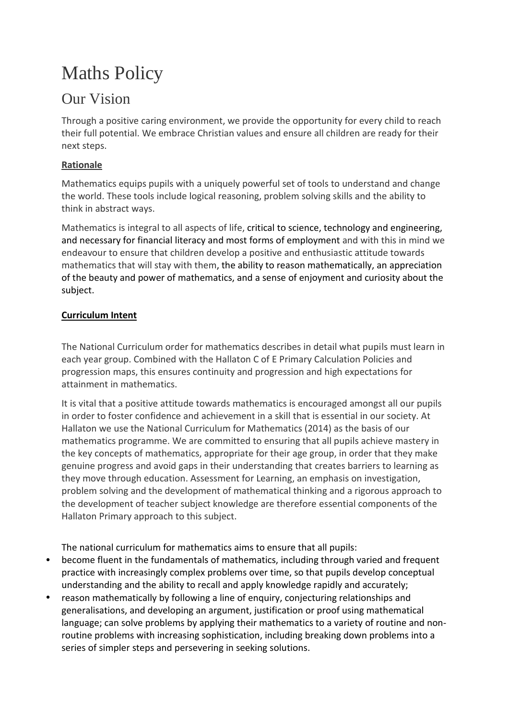# Maths Policy

# Our Vision

Through a positive caring environment, we provide the opportunity for every child to reach their full potential. We embrace Christian values and ensure all children are ready for their next steps.

## **Rationale**

Mathematics equips pupils with a uniquely powerful set of tools to understand and change the world. These tools include logical reasoning, problem solving skills and the ability to think in abstract ways.

Mathematics is integral to all aspects of life, critical to science, technology and engineering, and necessary for financial literacy and most forms of employment and with this in mind we endeavour to ensure that children develop a positive and enthusiastic attitude towards mathematics that will stay with them, the ability to reason mathematically, an appreciation of the beauty and power of mathematics, and a sense of enjoyment and curiosity about the subject.

## **Curriculum Intent**

The National Curriculum order for mathematics describes in detail what pupils must learn in each year group. Combined with the Hallaton C of E Primary Calculation Policies and progression maps, this ensures continuity and progression and high expectations for attainment in mathematics.

It is vital that a positive attitude towards mathematics is encouraged amongst all our pupils in order to foster confidence and achievement in a skill that is essential in our society. At Hallaton we use the National Curriculum for Mathematics (2014) as the basis of our mathematics programme. We are committed to ensuring that all pupils achieve mastery in the key concepts of mathematics, appropriate for their age group, in order that they make genuine progress and avoid gaps in their understanding that creates barriers to learning as they move through education. Assessment for Learning, an emphasis on investigation, problem solving and the development of mathematical thinking and a rigorous approach to the development of teacher subject knowledge are therefore essential components of the Hallaton Primary approach to this subject.

The national curriculum for mathematics aims to ensure that all pupils:

- become fluent in the fundamentals of mathematics, including through varied and frequent practice with increasingly complex problems over time, so that pupils develop conceptual understanding and the ability to recall and apply knowledge rapidly and accurately;
- reason mathematically by following a line of enquiry, conjecturing relationships and generalisations, and developing an argument, justification or proof using mathematical language; can solve problems by applying their mathematics to a variety of routine and nonroutine problems with increasing sophistication, including breaking down problems into a series of simpler steps and persevering in seeking solutions.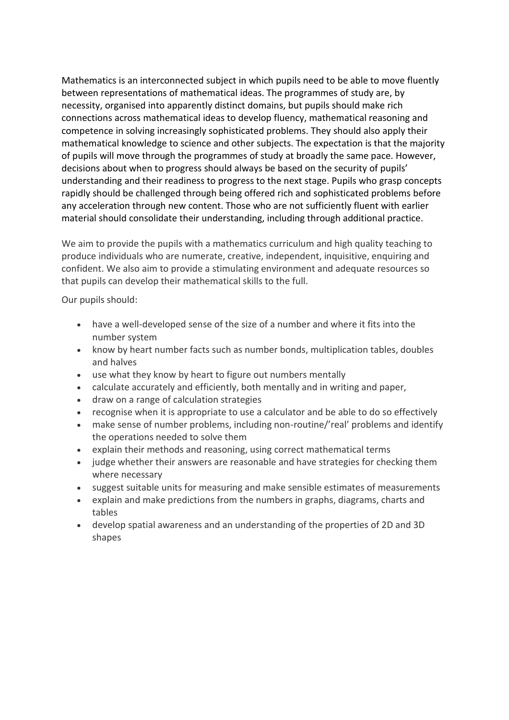Mathematics is an interconnected subject in which pupils need to be able to move fluently between representations of mathematical ideas. The programmes of study are, by necessity, organised into apparently distinct domains, but pupils should make rich connections across mathematical ideas to develop fluency, mathematical reasoning and competence in solving increasingly sophisticated problems. They should also apply their mathematical knowledge to science and other subjects. The expectation is that the majority of pupils will move through the programmes of study at broadly the same pace. However, decisions about when to progress should always be based on the security of pupils' understanding and their readiness to progress to the next stage. Pupils who grasp concepts rapidly should be challenged through being offered rich and sophisticated problems before any acceleration through new content. Those who are not sufficiently fluent with earlier material should consolidate their understanding, including through additional practice.

We aim to provide the pupils with a mathematics curriculum and high quality teaching to produce individuals who are numerate, creative, independent, inquisitive, enquiring and confident. We also aim to provide a stimulating environment and adequate resources so that pupils can develop their mathematical skills to the full.

Our pupils should:

- have a well-developed sense of the size of a number and where it fits into the number system
- know by heart number facts such as number bonds, multiplication tables, doubles and halves
- use what they know by heart to figure out numbers mentally
- calculate accurately and efficiently, both mentally and in writing and paper,
- draw on a range of calculation strategies
- recognise when it is appropriate to use a calculator and be able to do so effectively
- make sense of number problems, including non-routine/'real' problems and identify the operations needed to solve them
- explain their methods and reasoning, using correct mathematical terms
- judge whether their answers are reasonable and have strategies for checking them where necessary
- suggest suitable units for measuring and make sensible estimates of measurements
- explain and make predictions from the numbers in graphs, diagrams, charts and tables
- develop spatial awareness and an understanding of the properties of 2D and 3D shapes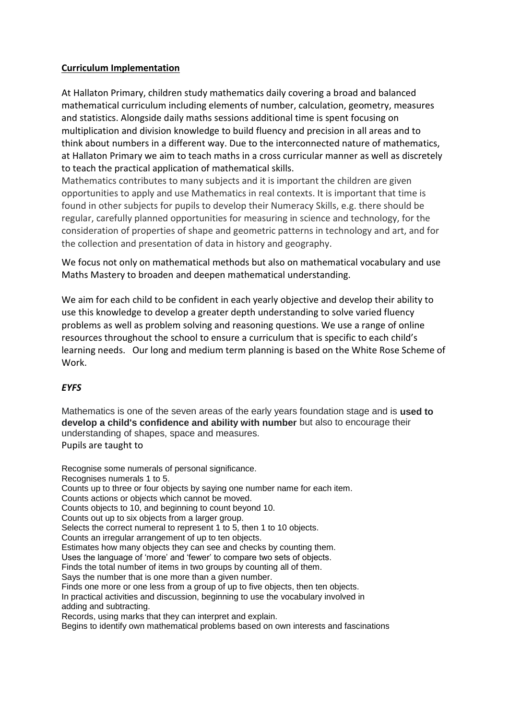#### **Curriculum Implementation**

At Hallaton Primary, children study mathematics daily covering a broad and balanced mathematical curriculum including elements of number, calculation, geometry, measures and statistics. Alongside daily maths sessions additional time is spent focusing on multiplication and division knowledge to build fluency and precision in all areas and to think about numbers in a different way. Due to the interconnected nature of mathematics, at Hallaton Primary we aim to teach maths in a cross curricular manner as well as discretely to teach the practical application of mathematical skills.

Mathematics contributes to many subjects and it is important the children are given opportunities to apply and use Mathematics in real contexts. It is important that time is found in other subjects for pupils to develop their Numeracy Skills, e.g. there should be regular, carefully planned opportunities for measuring in science and technology, for the consideration of properties of shape and geometric patterns in technology and art, and for the collection and presentation of data in history and geography.

We focus not only on mathematical methods but also on mathematical vocabulary and use Maths Mastery to broaden and deepen mathematical understanding.

We aim for each child to be confident in each yearly objective and develop their ability to use this knowledge to develop a greater depth understanding to solve varied fluency problems as well as problem solving and reasoning questions. We use a range of online resources throughout the school to ensure a curriculum that is specific to each child's learning needs. Our long and medium term planning is based on the White Rose Scheme of Work.

#### *EYFS*

Mathematics is one of the seven areas of the early years foundation stage and is **used to develop a child's confidence and ability with number** but also to encourage their understanding of shapes, space and measures.

Pupils are taught to

Recognise some numerals of personal significance. Recognises numerals 1 to 5. Counts up to three or four objects by saying one number name for each item. Counts actions or objects which cannot be moved. Counts objects to 10, and beginning to count beyond 10. Counts out up to six objects from a larger group. Selects the correct numeral to represent 1 to 5, then 1 to 10 objects. Counts an irregular arrangement of up to ten objects. Estimates how many objects they can see and checks by counting them. Uses the language of 'more' and 'fewer' to compare two sets of objects. Finds the total number of items in two groups by counting all of them. Says the number that is one more than a given number. Finds one more or one less from a group of up to five objects, then ten objects. In practical activities and discussion, beginning to use the vocabulary involved in adding and subtracting. Records, using marks that they can interpret and explain. Begins to identify own mathematical problems based on own interests and fascinations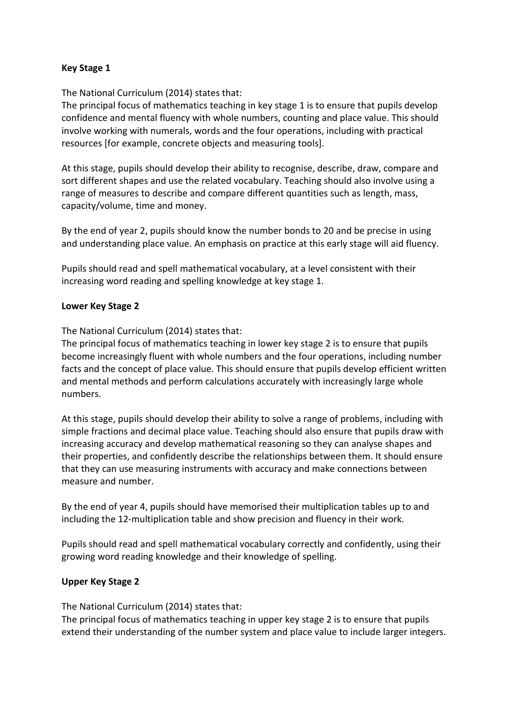#### **Key Stage 1**

The National Curriculum (2014) states that:

The principal focus of mathematics teaching in key stage 1 is to ensure that pupils develop confidence and mental fluency with whole numbers, counting and place value. This should involve working with numerals, words and the four operations, including with practical resources [for example, concrete objects and measuring tools].

At this stage, pupils should develop their ability to recognise, describe, draw, compare and sort different shapes and use the related vocabulary. Teaching should also involve using a range of measures to describe and compare different quantities such as length, mass, capacity/volume, time and money.

By the end of year 2, pupils should know the number bonds to 20 and be precise in using and understanding place value. An emphasis on practice at this early stage will aid fluency.

Pupils should read and spell mathematical vocabulary, at a level consistent with their increasing word reading and spelling knowledge at key stage 1.

#### **Lower Key Stage 2**

The National Curriculum (2014) states that:

The principal focus of mathematics teaching in lower key stage 2 is to ensure that pupils become increasingly fluent with whole numbers and the four operations, including number facts and the concept of place value. This should ensure that pupils develop efficient written and mental methods and perform calculations accurately with increasingly large whole numbers.

At this stage, pupils should develop their ability to solve a range of problems, including with simple fractions and decimal place value. Teaching should also ensure that pupils draw with increasing accuracy and develop mathematical reasoning so they can analyse shapes and their properties, and confidently describe the relationships between them. It should ensure that they can use measuring instruments with accuracy and make connections between measure and number.

By the end of year 4, pupils should have memorised their multiplication tables up to and including the 12-multiplication table and show precision and fluency in their work.

Pupils should read and spell mathematical vocabulary correctly and confidently, using their growing word reading knowledge and their knowledge of spelling.

#### **Upper Key Stage 2**

The National Curriculum (2014) states that:

The principal focus of mathematics teaching in upper key stage 2 is to ensure that pupils extend their understanding of the number system and place value to include larger integers.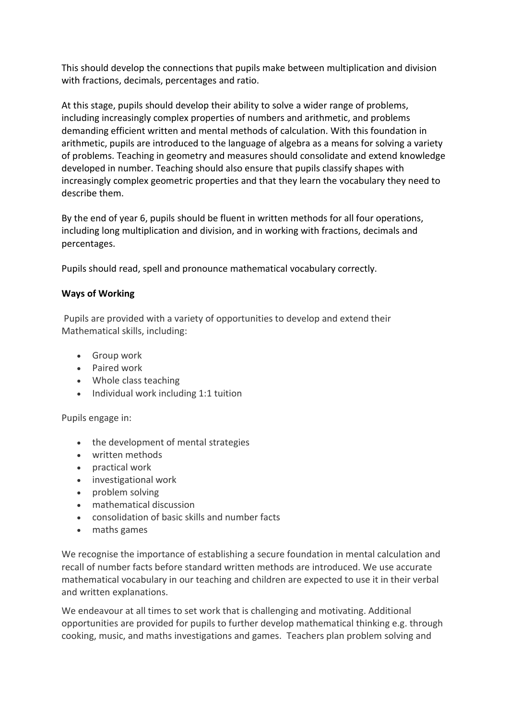This should develop the connections that pupils make between multiplication and division with fractions, decimals, percentages and ratio.

At this stage, pupils should develop their ability to solve a wider range of problems, including increasingly complex properties of numbers and arithmetic, and problems demanding efficient written and mental methods of calculation. With this foundation in arithmetic, pupils are introduced to the language of algebra as a means for solving a variety of problems. Teaching in geometry and measures should consolidate and extend knowledge developed in number. Teaching should also ensure that pupils classify shapes with increasingly complex geometric properties and that they learn the vocabulary they need to describe them.

By the end of year 6, pupils should be fluent in written methods for all four operations, including long multiplication and division, and in working with fractions, decimals and percentages.

Pupils should read, spell and pronounce mathematical vocabulary correctly.

#### **Ways of Working**

Pupils are provided with a variety of opportunities to develop and extend their Mathematical skills, including:

- Group work
- Paired work
- Whole class teaching
- Individual work including 1:1 tuition

Pupils engage in:

- the development of mental strategies
- written methods
- practical work
- investigational work
- problem solving
- mathematical discussion
- consolidation of basic skills and number facts
- maths games

We recognise the importance of establishing a secure foundation in mental calculation and recall of number facts before standard written methods are introduced. We use accurate mathematical vocabulary in our teaching and children are expected to use it in their verbal and written explanations.

We endeavour at all times to set work that is challenging and motivating. Additional opportunities are provided for pupils to further develop mathematical thinking e.g. through cooking, music, and maths investigations and games. Teachers plan problem solving and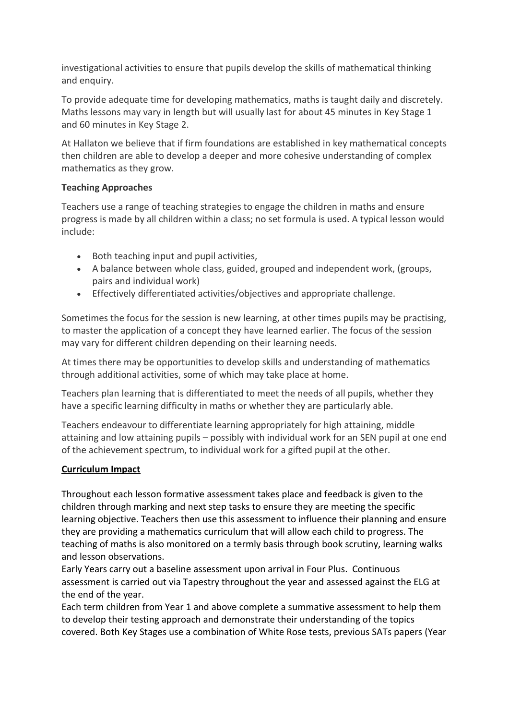investigational activities to ensure that pupils develop the skills of mathematical thinking and enquiry.

To provide adequate time for developing mathematics, maths is taught daily and discretely. Maths lessons may vary in length but will usually last for about 45 minutes in Key Stage 1 and 60 minutes in Key Stage 2.

At Hallaton we believe that if firm foundations are established in key mathematical concepts then children are able to develop a deeper and more cohesive understanding of complex mathematics as they grow.

#### **Teaching Approaches**

Teachers use a range of teaching strategies to engage the children in maths and ensure progress is made by all children within a class; no set formula is used. A typical lesson would include:

- Both teaching input and pupil activities,
- A balance between whole class, guided, grouped and independent work, (groups, pairs and individual work)
- Effectively differentiated activities/objectives and appropriate challenge.

Sometimes the focus for the session is new learning, at other times pupils may be practising, to master the application of a concept they have learned earlier. The focus of the session may vary for different children depending on their learning needs.

At times there may be opportunities to develop skills and understanding of mathematics through additional activities, some of which may take place at home.

Teachers plan learning that is differentiated to meet the needs of all pupils, whether they have a specific learning difficulty in maths or whether they are particularly able.

Teachers endeavour to differentiate learning appropriately for high attaining, middle attaining and low attaining pupils – possibly with individual work for an SEN pupil at one end of the achievement spectrum, to individual work for a gifted pupil at the other.

#### **Curriculum Impact**

Throughout each lesson formative assessment takes place and feedback is given to the children through marking and next step tasks to ensure they are meeting the specific learning objective. Teachers then use this assessment to influence their planning and ensure they are providing a mathematics curriculum that will allow each child to progress. The teaching of maths is also monitored on a termly basis through book scrutiny, learning walks and lesson observations.

Early Years carry out a baseline assessment upon arrival in Four Plus. Continuous assessment is carried out via Tapestry throughout the year and assessed against the ELG at the end of the year.

Each term children from Year 1 and above complete a summative assessment to help them to develop their testing approach and demonstrate their understanding of the topics covered. Both Key Stages use a combination of White Rose tests, previous SATs papers (Year